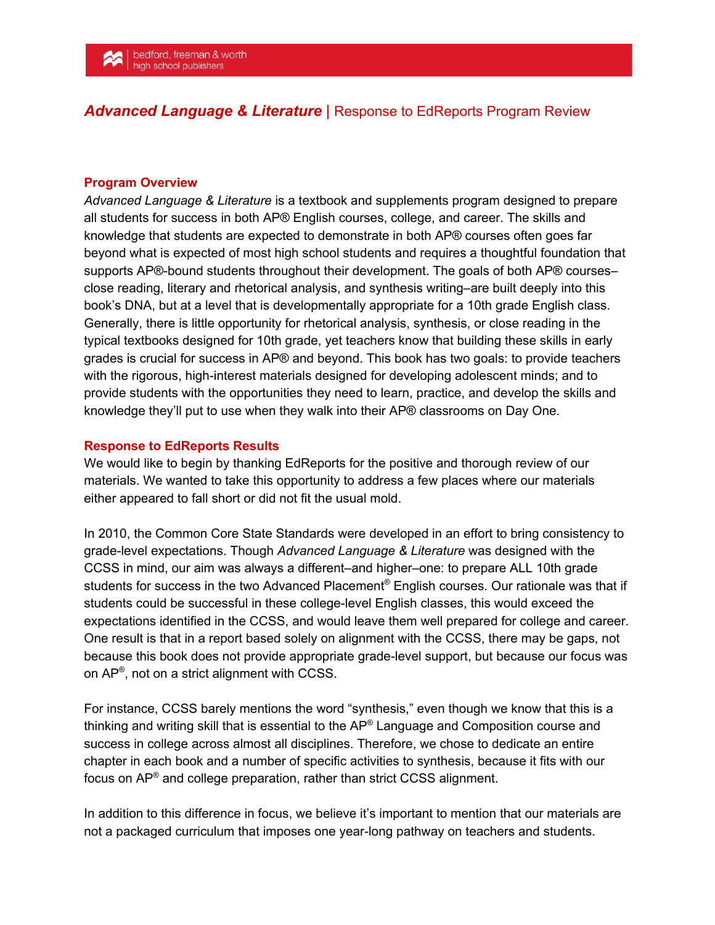## *Advanced Language & Literature* | Response to EdReports Program Review

## **Program Overview**

*Advanced Language & Literature* is a textbook and supplements program designed to prepare all students for success in both AP® English courses, college, and career. The skills and knowledge that students are expected to demonstrate in both AP® courses often goes far beyond what is expected of most high school students and requires a thoughtful foundation that supports AP®-bound students throughout their development. The goals of both AP® courses– close reading, literary and rhetorical analysis, and synthesis writing–are built deeply into this book's DNA, but at a level that is developmentally appropriate for a 10th grade English class. Generally, there is little opportunity for rhetorical analysis, synthesis, or close reading in the typical textbooks designed for 10th grade, yet teachers know that building these skills in early grades is crucial for success in AP® and beyond. This book has two goals: to provide teachers with the rigorous, high-interest materials designed for developing adolescent minds; and to provide students with the opportunities they need to learn, practice, and develop the skills and knowledge they'll put to use when they walk into their AP® classrooms on Day One.

## **Response to EdReports Results**

We would like to begin by thanking EdReports for the positive and thorough review of our materials. We wanted to take this opportunity to address a few places where our materials either appeared to fall short or did not fit the usual mold.

In 2010, the Common Core State Standards were developed in an effort to bring consistency to grade-level expectations. Though *Advanced Language & Literature* was designed with the CCSS in mind, our aim was always a different–and higher–one: to prepare ALL 10th grade students for success in the two Advanced Placement® English courses. Our rationale was that if students could be successful in these college-level English classes, this would exceed the expectations identified in the CCSS, and would leave them well prepared for college and career. One result is that in a report based solely on alignment with the CCSS, there may be gaps, not because this book does not provide appropriate grade-level support, but because our focus was on  $AP^{\circledast}$ , not on a strict alignment with CCSS.

For instance, CCSS barely mentions the word "synthesis," even though we know that this is a thinking and writing skill that is essential to the AP® Language and Composition course and success in college across almost all disciplines. Therefore, we chose to dedicate an entire chapter in each book and a number of specific activities to synthesis, because it fits with our focus on AP<sup>®</sup> and college preparation, rather than strict CCSS alignment.

In addition to this difference in focus, we believe it's important to mention that our materials are not a packaged curriculum that imposes one year-long pathway on teachers and students.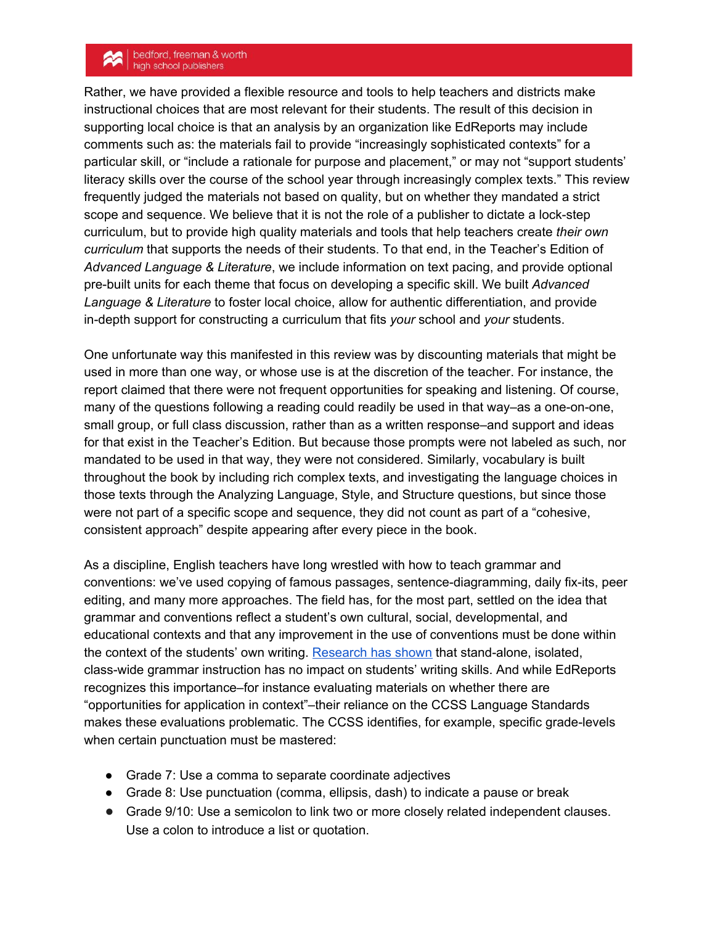## bedford, freeman & worth<br>high school publishers

Rather, we have provided a flexible resource and tools to help teachers and districts make instructional choices that are most relevant for their students. The result of this decision in supporting local choice is that an analysis by an organization like EdReports may include comments such as: the materials fail to provide "increasingly sophisticated contexts" for a particular skill, or "include a rationale for purpose and placement," or may not "support students' literacy skills over the course of the school year through increasingly complex texts." This review frequently judged the materials not based on quality, but on whether they mandated a strict scope and sequence. We believe that it is not the role of a publisher to dictate a lock-step curriculum, but to provide high quality materials and tools that help teachers create *their own curriculum* that supports the needs of their students. To that end, in the Teacher's Edition of *Advanced Language & Literature*, we include information on text pacing, and provide optional pre-built units for each theme that focus on developing a specific skill. We built *Advanced Language & Literature* to foster local choice, allow for authentic differentiation, and provide in-depth support for constructing a curriculum that fits *your* school and *your* students.

One unfortunate way this manifested in this review was by discounting materials that might be used in more than one way, or whose use is at the discretion of the teacher. For instance, the report claimed that there were not frequent opportunities for speaking and listening. Of course, many of the questions following a reading could readily be used in that way–as a one-on-one, small group, or full class discussion, rather than as a written response–and support and ideas for that exist in the Teacher's Edition. But because those prompts were not labeled as such, nor mandated to be used in that way, they were not considered. Similarly, vocabulary is built throughout the book by including rich complex texts, and investigating the language choices in those texts through the Analyzing Language, Style, and Structure questions, but since those were not part of a specific scope and sequence, they did not count as part of a "cohesive, consistent approach" despite appearing after every piece in the book.

As a discipline, English teachers have long wrestled with how to teach grammar and conventions: we've used copying of famous passages, sentence-diagramming, daily fix-its, peer editing, and many more approaches. The field has, for the most part, settled on the idea that grammar and conventions reflect a student's own cultural, social, developmental, and educational contexts and that any improvement in the use of conventions must be done within the context of the students' own writing. [Research](https://www2.ncte.org/statement/grammarexercises/) has shown that stand-alone, isolated, class-wide grammar instruction has no impact on students' writing skills. And while EdReports recognizes this importance–for instance evaluating materials on whether there are "opportunities for application in context"–their reliance on the CCSS Language Standards makes these evaluations problematic. The CCSS identifies, for example, specific grade-levels when certain punctuation must be mastered:

- Grade 7: Use a comma to separate coordinate adjectives
- Grade 8: Use punctuation (comma, ellipsis, dash) to indicate a pause or break
- Grade 9/10: Use a semicolon to link two or more closely related independent clauses. Use a colon to introduce a list or quotation.